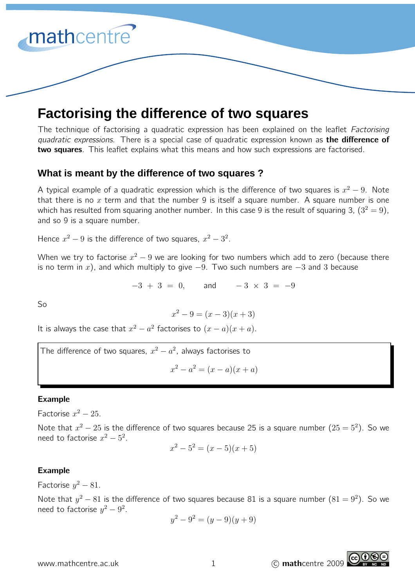# mathcentre'

# **Factorising the difference of two squares**

The technique of factorising a quadratic expression has been explained on the leaflet Factorising quadratic expressions. There is a special case of quadratic expression known as **the difference of** two squares. This leaflet explains what this means and how such expressions are factorised.

## **What is meant by the difference of two squares ?**

A typical example of a quadratic expression which is the difference of two squares is  $x^2-9$ . Note that there is no  $x$  term and that the number 9 is itself a square number. A square number is one which has resulted from squaring another number. In this case 9 is the result of squaring 3,  $(3^2 = 9)$ , and so 9 is a square number.

Hence  $x^2 - 9$  is the difference of two squares,  $x^2 - 3^2$ .

When we try to factorise  $x^2-9$  we are looking for two numbers which add to zero (because there is no term in x), and which multiply to give  $-9$ . Two such numbers are  $-3$  and 3 because

 $-3 + 3 = 0$ , and  $-3 \times 3 = -9$ 

So

$$
x^2 - 9 = (x - 3)(x + 3)
$$

It is always the case that  $x^2 - a^2$  factorises to  $(x - a)(x + a)$ .

The difference of two squares,  $x^2 - a^2$ , always factorises to

$$
x^2 - a^2 = (x - a)(x + a)
$$

### Example

Factorise  $x^2 - 25$ .

Note that  $x^2 - 25$  is the difference of two squares because 25 is a square number  $(25 = 5^2)$ . So we need to factorise  $x^2 - 5^2$ .

$$
x^2 - 5^2 = (x - 5)(x + 5)
$$

### Example

Factorise  $y^2 - 81$ .

Note that  $y^2 - 81$  is the difference of two squares because 81 is a square number  $(81 = 9^2)$ . So we need to factorise  $y^2 - 9^2$ .

$$
y^2 - 9^2 = (y - 9)(y + 9)
$$

www.mathcentre.ac.uk 1 c mathcentre 2009